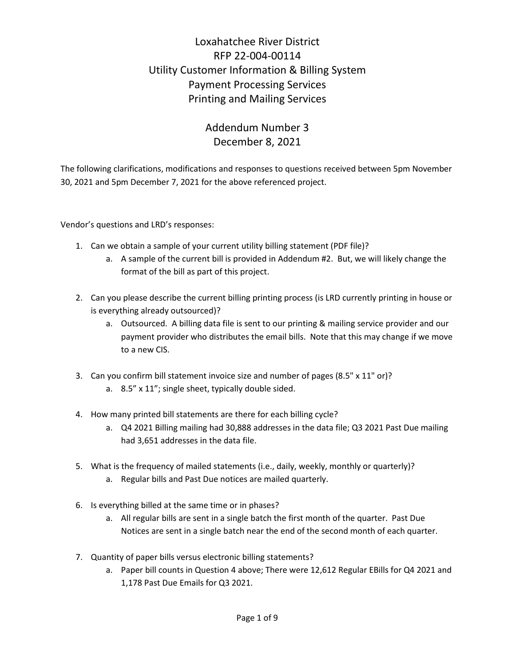# Loxahatchee River District RFP 22-004-00114 Utility Customer Information & Billing System Payment Processing Services Printing and Mailing Services

# Addendum Number 3 December 8, 2021

The following clarifications, modifications and responses to questions received between 5pm November 30, 2021 and 5pm December 7, 2021 for the above referenced project.

Vendor's questions and LRD's responses:

- 1. Can we obtain a sample of your current utility billing statement (PDF file)?
	- a. A sample of the current bill is provided in Addendum #2. But, we will likely change the format of the bill as part of this project.
- 2. Can you please describe the current billing printing process (is LRD currently printing in house or is everything already outsourced)?
	- a. Outsourced. A billing data file is sent to our printing & mailing service provider and our payment provider who distributes the email bills. Note that this may change if we move to a new CIS.
- 3. Can you confirm bill statement invoice size and number of pages (8.5" x 11" or)?
	- a. 8.5" x 11"; single sheet, typically double sided.
- 4. How many printed bill statements are there for each billing cycle?
	- a. Q4 2021 Billing mailing had 30,888 addresses in the data file; Q3 2021 Past Due mailing had 3,651 addresses in the data file.
- 5. What is the frequency of mailed statements (i.e., daily, weekly, monthly or quarterly)?
	- a. Regular bills and Past Due notices are mailed quarterly.
- 6. Is everything billed at the same time or in phases?
	- a. All regular bills are sent in a single batch the first month of the quarter. Past Due Notices are sent in a single batch near the end of the second month of each quarter.
- 7. Quantity of paper bills versus electronic billing statements?
	- a. Paper bill counts in Question 4 above; There were 12,612 Regular EBills for Q4 2021 and 1,178 Past Due Emails for Q3 2021.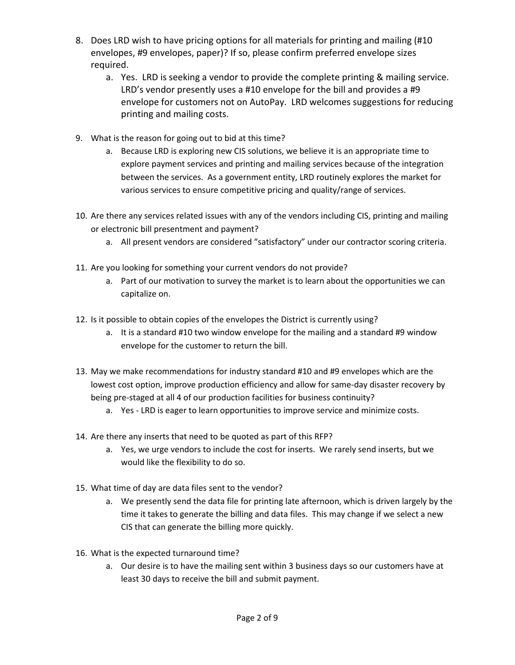- 8. Does LRD wish to have pricing options for all materials for printing and mailing (#10 envelopes, #9 envelopes, paper)? If so, please confirm preferred envelope sizes required.
	- a. Yes. LRD is seeking a vendor to provide the complete printing & mailing service. LRD's vendor presently uses a #10 envelope for the bill and provides a #9 envelope for customers not on AutoPay. LRD welcomes suggestions for reducing printing and mailing costs.
- 9. What is the reason for going out to bid at this time?
	- a. Because LRD is exploring new CIS solutions, we believe it is an appropriate time to explore payment services and printing and mailing services because of the integration between the services. As a government entity, LRD routinely explores the market for various services to ensure competitive pricing and quality/range of services.
- 10. Are there any services related issues with any of the vendors including CIS, printing and mailing or electronic bill presentment and payment?
	- a. All present vendors are considered "satisfactory" under our contractor scoring criteria.
- 11. Are you looking for something your current vendors do not provide?
	- a. Part of our motivation to survey the market is to learn about the opportunities we can capitalize on.
- 12. Is it possible to obtain copies of the envelopes the District is currently using?
	- a. It is a standard #10 two window envelope for the mailing and a standard #9 window envelope for the customer to return the bill.
- 13. May we make recommendations for industry standard #10 and #9 envelopes which are the lowest cost option, improve production efficiency and allow for same-day disaster recovery by being pre-staged at all 4 of our production facilities for business continuity?
	- a. Yes LRD is eager to learn opportunities to improve service and minimize costs.
- 14. Are there any inserts that need to be quoted as part of this RFP?
	- a. Yes, we urge vendors to include the cost for inserts. We rarely send inserts, but we would like the flexibility to do so.
- 15. What time of day are data files sent to the vendor?
	- a. We presently send the data file for printing late afternoon, which is driven largely by the time it takes to generate the billing and data files. This may change if we select a new CIS that can generate the billing more quickly.
- 16. What is the expected turnaround time?
	- a. Our desire is to have the mailing sent within 3 business days so our customers have at least 30 days to receive the bill and submit payment.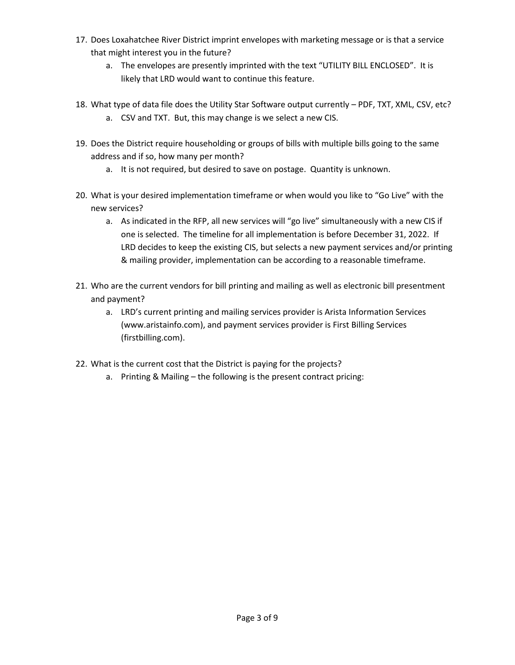- 17. Does Loxahatchee River District imprint envelopes with marketing message or is that a service that might interest you in the future?
	- a. The envelopes are presently imprinted with the text "UTILITY BILL ENCLOSED". It is likely that LRD would want to continue this feature.
- 18. What type of data file does the Utility Star Software output currently PDF, TXT, XML, CSV, etc? a. CSV and TXT. But, this may change is we select a new CIS.
- 19. Does the District require householding or groups of bills with multiple bills going to the same address and if so, how many per month?
	- a. It is not required, but desired to save on postage. Quantity is unknown.
- 20. What is your desired implementation timeframe or when would you like to "Go Live" with the new services?
	- a. As indicated in the RFP, all new services will "go live" simultaneously with a new CIS if one is selected. The timeline for all implementation is before December 31, 2022. If LRD decides to keep the existing CIS, but selects a new payment services and/or printing & mailing provider, implementation can be according to a reasonable timeframe.
- 21. Who are the current vendors for bill printing and mailing as well as electronic bill presentment and payment?
	- a. LRD's current printing and mailing services provider is Arista Information Services (www.aristainfo.com), and payment services provider is First Billing Services (firstbilling.com).
- 22. What is the current cost that the District is paying for the projects?
	- a. Printing & Mailing the following is the present contract pricing: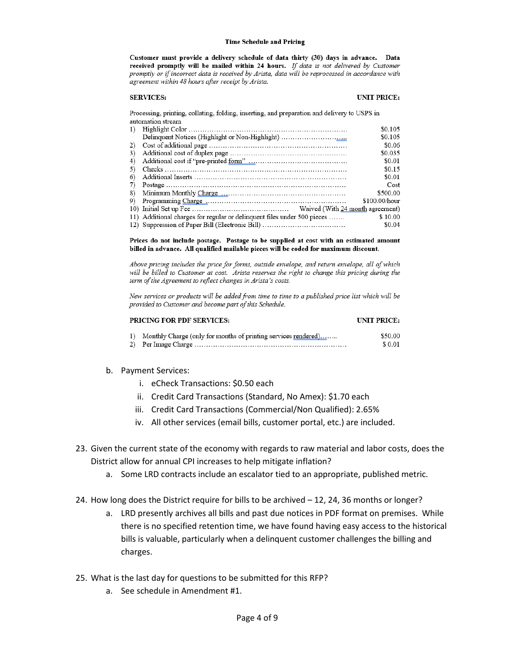#### **Time Schedule and Pricing**

Customer must provide a delivery schedule of data thirty (30) days in advance. Data received promptly will be mailed within 24 hours. If data is not delivered by Customer promptly or if incorrect data is received by Arista, data will be reprocessed in accordance with agreement within 48 hours after receipt by Arista.

### **SERVICES:**

## **UNIT PRICE:**

Processing, printing, collating, folding, inserting, and preparation and delivery to USPS in automation stream

| 1)                                                                      | \$0.105       |
|-------------------------------------------------------------------------|---------------|
|                                                                         | \$0.105       |
| 2)                                                                      | \$0.06        |
| 3)                                                                      | \$0.035       |
| 4)                                                                      | \$0.01        |
| 5)                                                                      | \$0.15        |
| 6)                                                                      | \$0.01        |
| 7)                                                                      | Cost          |
| 8)                                                                      | \$500.00      |
| 9)                                                                      | \$100.00/hour |
|                                                                         |               |
| 11) Additional charges for regular or delinquent files under 500 pieces | \$10.00       |
|                                                                         | \$0.04        |

#### Prices do not include postage. Postage to be supplied at cost with an estimated amount billed in advance. All qualified mailable pieces will be coded for maximum discount.

Above pricing includes the price for forms, outside envelope, and return envelope, all of which will be billed to Customer at cost. Arista reserves the right to change this pricing during the term of the Agreement to reflect changes in Arista's costs.

New services or products will be added from time to time to a published price list which will be provided to Customer and become part of this Schedule.

| <b>PRICING FOR PDF SERVICES:</b> | UNIT PRICE:                                                       |         |
|----------------------------------|-------------------------------------------------------------------|---------|
|                                  | 1) Monthly Charge (only for months of printing services rendered) | \$50.00 |
|                                  |                                                                   | \$ 0.01 |

## b. Payment Services:

- i. eCheck Transactions: \$0.50 each
- ii. Credit Card Transactions (Standard, No Amex): \$1.70 each
- iii. Credit Card Transactions (Commercial/Non Qualified): 2.65%
- iv. All other services (email bills, customer portal, etc.) are included.
- 23. Given the current state of the economy with regards to raw material and labor costs, does the District allow for annual CPI increases to help mitigate inflation?
	- a. Some LRD contracts include an escalator tied to an appropriate, published metric.
- 24. How long does the District require for bills to be archived 12, 24, 36 months or longer?
	- a. LRD presently archives all bills and past due notices in PDF format on premises. While there is no specified retention time, we have found having easy access to the historical bills is valuable, particularly when a delinquent customer challenges the billing and charges.
- 25. What is the last day for questions to be submitted for this RFP?
	- a. See schedule in Amendment #1.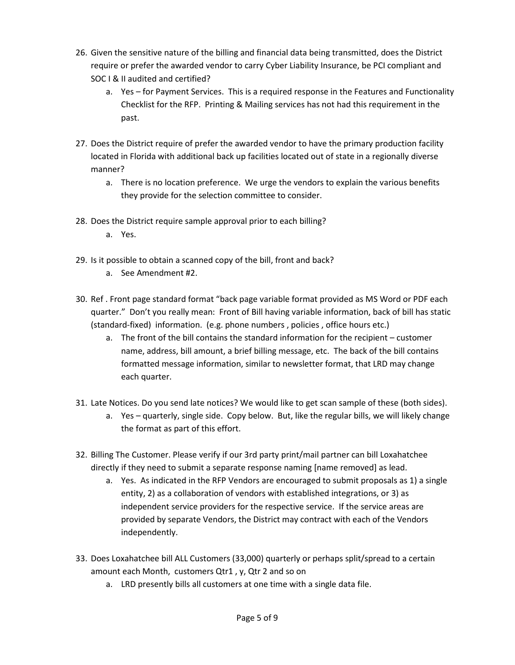- 26. Given the sensitive nature of the billing and financial data being transmitted, does the District require or prefer the awarded vendor to carry Cyber Liability Insurance, be PCI compliant and SOC I & II audited and certified?
	- a. Yes for Payment Services. This is a required response in the Features and Functionality Checklist for the RFP. Printing & Mailing services has not had this requirement in the past.
- 27. Does the District require of prefer the awarded vendor to have the primary production facility located in Florida with additional back up facilities located out of state in a regionally diverse manner?
	- a. There is no location preference. We urge the vendors to explain the various benefits they provide for the selection committee to consider.
- 28. Does the District require sample approval prior to each billing?
	- a. Yes.
- 29. Is it possible to obtain a scanned copy of the bill, front and back?
	- a. See Amendment #2.
- 30. Ref . Front page standard format "back page variable format provided as MS Word or PDF each quarter." Don't you really mean: Front of Bill having variable information, back of bill has static (standard-fixed) information. (e.g. phone numbers , policies , office hours etc.)
	- a. The front of the bill contains the standard information for the recipient customer name, address, bill amount, a brief billing message, etc. The back of the bill contains formatted message information, similar to newsletter format, that LRD may change each quarter.
- 31. Late Notices. Do you send late notices? We would like to get scan sample of these (both sides).
	- a. Yes quarterly, single side. Copy below. But, like the regular bills, we will likely change the format as part of this effort.
- 32. Billing The Customer. Please verify if our 3rd party print/mail partner can bill Loxahatchee directly if they need to submit a separate response naming [name removed] as lead.
	- a. Yes. As indicated in the RFP Vendors are encouraged to submit proposals as 1) a single entity, 2) as a collaboration of vendors with established integrations, or 3) as independent service providers for the respective service. If the service areas are provided by separate Vendors, the District may contract with each of the Vendors independently.
- 33. Does Loxahatchee bill ALL Customers (33,000) quarterly or perhaps split/spread to a certain amount each Month, customers Qtr1 , y, Qtr 2 and so on
	- a. LRD presently bills all customers at one time with a single data file.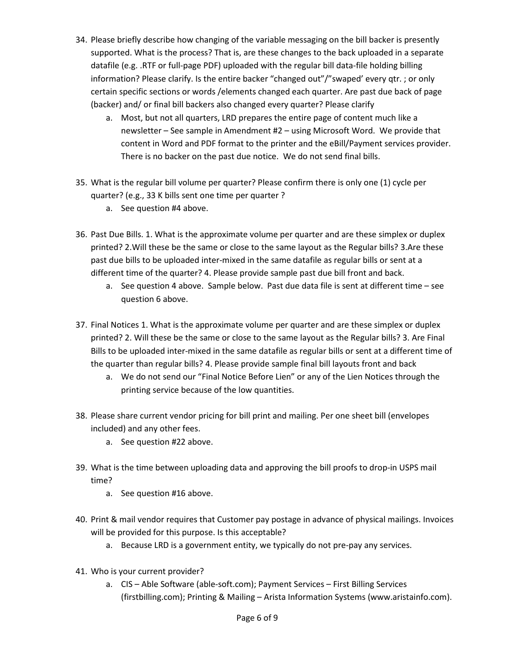- 34. Please briefly describe how changing of the variable messaging on the bill backer is presently supported. What is the process? That is, are these changes to the back uploaded in a separate datafile (e.g. .RTF or full-page PDF) uploaded with the regular bill data-file holding billing information? Please clarify. Is the entire backer "changed out"/"swaped' every qtr. ; or only certain specific sections or words /elements changed each quarter. Are past due back of page (backer) and/ or final bill backers also changed every quarter? Please clarify
	- a. Most, but not all quarters, LRD prepares the entire page of content much like a newsletter – See sample in Amendment #2 – using Microsoft Word. We provide that content in Word and PDF format to the printer and the eBill/Payment services provider. There is no backer on the past due notice. We do not send final bills.
- 35. What is the regular bill volume per quarter? Please confirm there is only one (1) cycle per quarter? (e.g., 33 K bills sent one time per quarter ?
	- a. See question #4 above.
- 36. Past Due Bills. 1. What is the approximate volume per quarter and are these simplex or duplex printed? 2.Will these be the same or close to the same layout as the Regular bills? 3.Are these past due bills to be uploaded inter-mixed in the same datafile as regular bills or sent at a different time of the quarter? 4. Please provide sample past due bill front and back.
	- a. See question 4 above. Sample below. Past due data file is sent at different time see question 6 above.
- 37. Final Notices 1. What is the approximate volume per quarter and are these simplex or duplex printed? 2. Will these be the same or close to the same layout as the Regular bills? 3. Are Final Bills to be uploaded inter-mixed in the same datafile as regular bills or sent at a different time of the quarter than regular bills? 4. Please provide sample final bill layouts front and back
	- a. We do not send our "Final Notice Before Lien" or any of the Lien Notices through the printing service because of the low quantities.
- 38. Please share current vendor pricing for bill print and mailing. Per one sheet bill (envelopes included) and any other fees.
	- a. See question #22 above.
- 39. What is the time between uploading data and approving the bill proofs to drop-in USPS mail time?
	- a. See question #16 above.
- 40. Print & mail vendor requires that Customer pay postage in advance of physical mailings. Invoices will be provided for this purpose. Is this acceptable?
	- a. Because LRD is a government entity, we typically do not pre-pay any services.
- 41. Who is your current provider?
	- a. CIS Able Software (able-soft.com); Payment Services First Billing Services (firstbilling.com); Printing & Mailing – Arista Information Systems (www.aristainfo.com).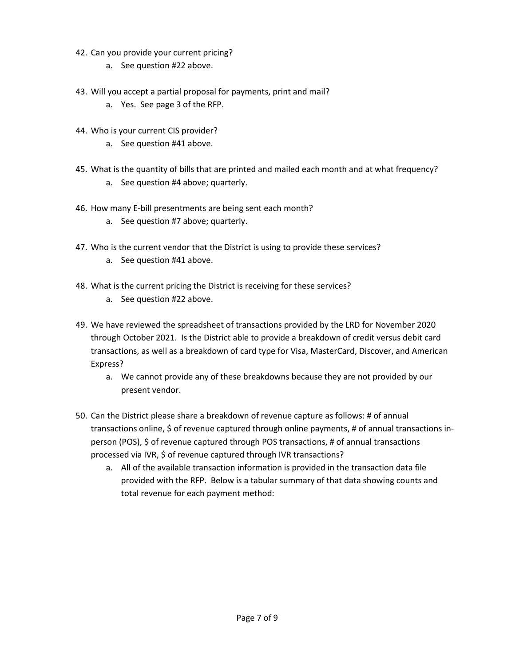- 42. Can you provide your current pricing?
	- a. See question #22 above.
- 43. Will you accept a partial proposal for payments, print and mail?
	- a. Yes. See page 3 of the RFP.
- 44. Who is your current CIS provider?
	- a. See question #41 above.
- 45. What is the quantity of bills that are printed and mailed each month and at what frequency?
	- a. See question #4 above; quarterly.
- 46. How many E-bill presentments are being sent each month?
	- a. See question #7 above; quarterly.
- 47. Who is the current vendor that the District is using to provide these services?
	- a. See question #41 above.
- 48. What is the current pricing the District is receiving for these services?
	- a. See question #22 above.
- 49. We have reviewed the spreadsheet of transactions provided by the LRD for November 2020 through October 2021. Is the District able to provide a breakdown of credit versus debit card transactions, as well as a breakdown of card type for Visa, MasterCard, Discover, and American Express?
	- a. We cannot provide any of these breakdowns because they are not provided by our present vendor.
- 50. Can the District please share a breakdown of revenue capture as follows: # of annual transactions online, \$ of revenue captured through online payments, # of annual transactions inperson (POS), \$ of revenue captured through POS transactions, # of annual transactions processed via IVR, \$ of revenue captured through IVR transactions?
	- a. All of the available transaction information is provided in the transaction data file provided with the RFP. Below is a tabular summary of that data showing counts and total revenue for each payment method: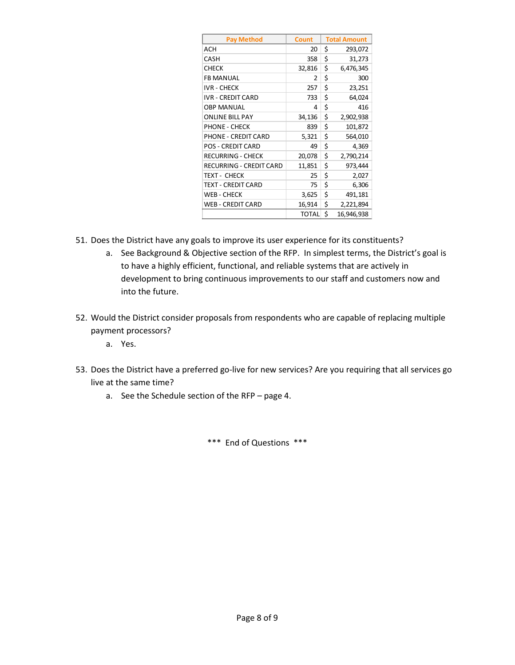| <b>Pay Method</b>          | <b>Count</b> | <b>Total Amount</b> |            |
|----------------------------|--------------|---------------------|------------|
| <b>ACH</b>                 | 20           | \$                  | 293,072    |
| CASH                       | 358          | \$                  | 31,273     |
| <b>CHECK</b>               | 32,816       | \$                  | 6,476,345  |
| <b>FB MANUAL</b>           | 2            | \$                  | 300        |
| <b>IVR - CHECK</b>         | 257          | \$                  | 23,251     |
| <b>IVR - CREDIT CARD</b>   | 733          | \$                  | 64,024     |
| <b>OBP MANUAL</b>          | 4            | \$                  | 416        |
| <b>ONLINE BILL PAY</b>     | 34,136       | \$                  | 2,902,938  |
| <b>PHONE - CHECK</b>       | 839          | \$                  | 101,872    |
| <b>PHONE - CREDIT CARD</b> | 5,321        | \$                  | 564,010    |
| <b>POS - CREDIT CARD</b>   | 49           | Ś                   | 4,369      |
| RECURRING - CHECK          | 20,078       | \$                  | 2,790,214  |
| RECURRING - CREDIT CARD    | 11,851       | \$                  | 973,444    |
| <b>TEXT - CHECK</b>        | 25           | \$                  | 2,027      |
| <b>TEXT - CREDIT CARD</b>  | 75           | \$                  | 6,306      |
| WEB - CHECK                | 3,625        | \$                  | 491,181    |
| <b>WEB - CREDIT CARD</b>   | 16,914       | \$                  | 2,221,894  |
|                            | <b>TOTAL</b> | \$                  | 16,946,938 |

- 51. Does the District have any goals to improve its user experience for its constituents?
	- a. See Background & Objective section of the RFP. In simplest terms, the District's goal is to have a highly efficient, functional, and reliable systems that are actively in development to bring continuous improvements to our staff and customers now and into the future.
- 52. Would the District consider proposals from respondents who are capable of replacing multiple payment processors?
	- a. Yes.
- 53. Does the District have a preferred go-live for new services? Are you requiring that all services go live at the same time?
	- a. See the Schedule section of the RFP page 4.

\*\*\* End of Questions \*\*\*